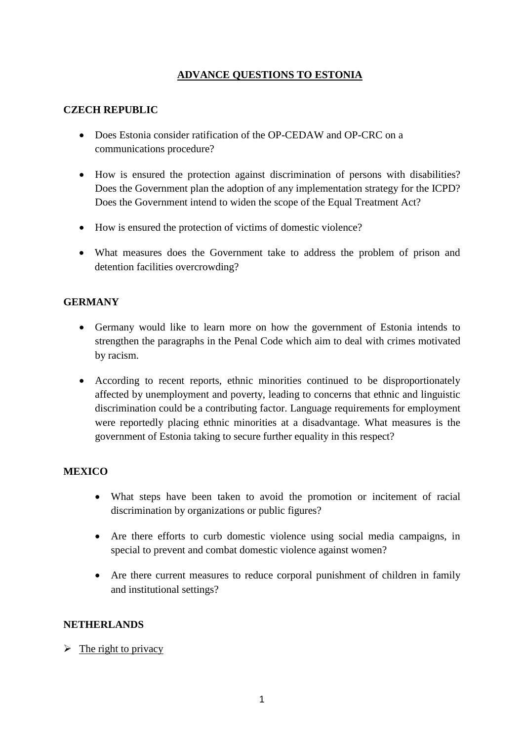## **ADVANCE QUESTIONS TO ESTONIA**

# **CZECH REPUBLIC**

- Does Estonia consider ratification of the OP-CEDAW and OP-CRC on a communications procedure?
- How is ensured the protection against discrimination of persons with disabilities? Does the Government plan the adoption of any implementation strategy for the ICPD? Does the Government intend to widen the scope of the Equal Treatment Act?
- How is ensured the protection of victims of domestic violence?
- What measures does the Government take to address the problem of prison and detention facilities overcrowding?

## **GERMANY**

- Germany would like to learn more on how the government of Estonia intends to strengthen the paragraphs in the Penal Code which aim to deal with crimes motivated by racism.
- According to recent reports, ethnic minorities continued to be disproportionately affected by unemployment and poverty, leading to concerns that ethnic and linguistic discrimination could be a contributing factor. Language requirements for employment were reportedly placing ethnic minorities at a disadvantage. What measures is the government of Estonia taking to secure further equality in this respect?

### **MEXICO**

- What steps have been taken to avoid the promotion or incitement of racial discrimination by organizations or public figures?
- Are there efforts to curb domestic violence using social media campaigns, in special to prevent and combat domestic violence against women?
- Are there current measures to reduce corporal punishment of children in family and institutional settings?

### **NETHERLANDS**

### $\triangleright$  The right to privacy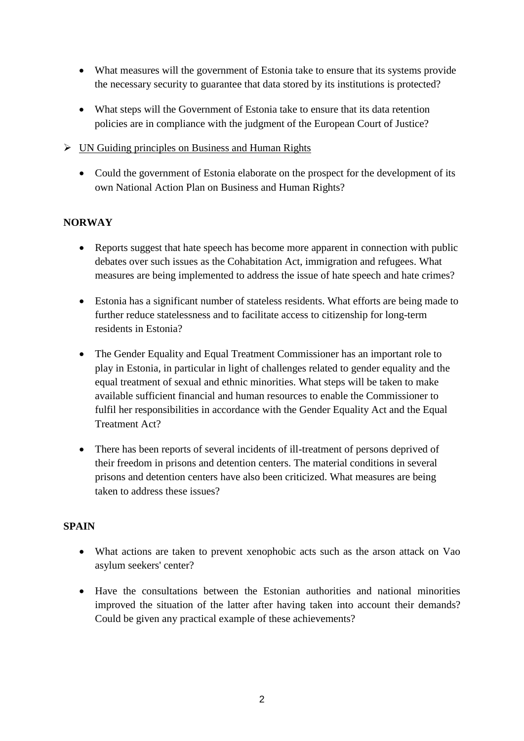- What measures will the government of Estonia take to ensure that its systems provide the necessary security to guarantee that data stored by its institutions is protected?
- What steps will the Government of Estonia take to ensure that its data retention policies are in compliance with the judgment of the European Court of Justice?
- $\triangleright$  UN Guiding principles on Business and Human Rights
	- Could the government of Estonia elaborate on the prospect for the development of its own National Action Plan on Business and Human Rights?

## **NORWAY**

- Reports suggest that hate speech has become more apparent in connection with public debates over such issues as the Cohabitation Act, immigration and refugees. What measures are being implemented to address the issue of hate speech and hate crimes?
- Estonia has a significant number of stateless residents. What efforts are being made to further reduce statelessness and to facilitate access to citizenship for long-term residents in Estonia?
- The Gender Equality and Equal Treatment Commissioner has an important role to play in Estonia, in particular in light of challenges related to gender equality and the equal treatment of sexual and ethnic minorities. What steps will be taken to make available sufficient financial and human resources to enable the Commissioner to fulfil her responsibilities in accordance with the Gender Equality Act and the Equal Treatment Act?
- There has been reports of several incidents of ill-treatment of persons deprived of their freedom in prisons and detention centers. The material conditions in several prisons and detention centers have also been criticized. What measures are being taken to address these issues?

### **SPAIN**

- What actions are taken to prevent xenophobic acts such as the arson attack on Vao asylum seekers' center?
- Have the consultations between the Estonian authorities and national minorities improved the situation of the latter after having taken into account their demands? Could be given any practical example of these achievements?